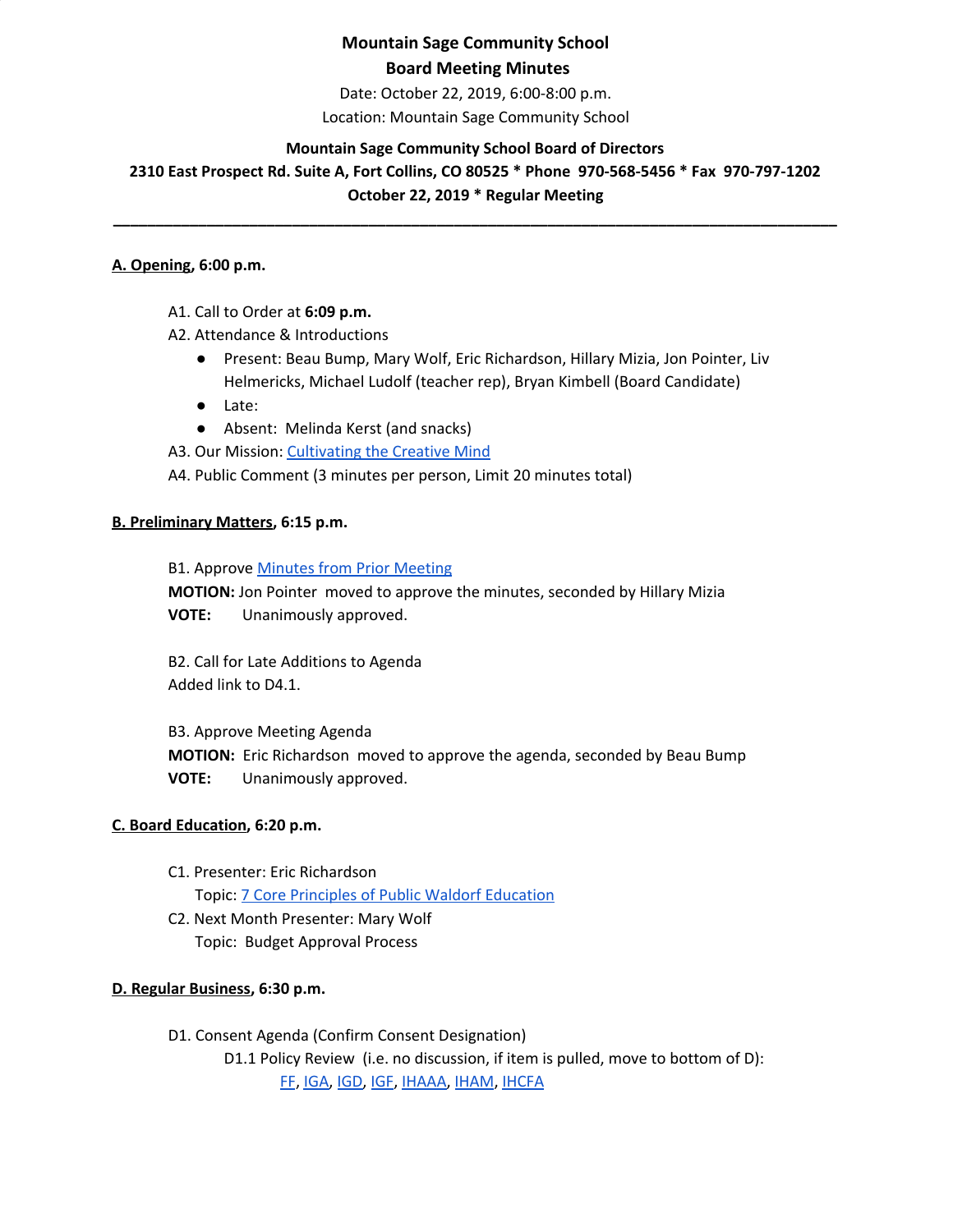Date: October 22, 2019, 6:00-8:00 p.m.

Location: Mountain Sage Community School

## **Mountain Sage Community School Board of Directors**

**2310 East Prospect Rd. Suite A, Fort Collins, CO 80525 \* Phone 970-568-5456 \* Fax 970-797-1202 October 22, 2019 \* Regular Meeting**

**\_\_\_\_\_\_\_\_\_\_\_\_\_\_\_\_\_\_\_\_\_\_\_\_\_\_\_\_\_\_\_\_\_\_\_\_\_\_\_\_\_\_\_\_\_\_\_\_\_\_\_\_\_\_\_\_\_\_\_\_\_\_\_\_\_\_\_\_\_\_\_\_\_\_\_\_\_\_\_\_\_\_\_\_\_**

#### **A. Opening, 6:00 p.m.**

- A1. Call to Order at **6:09 p.m.**
- A2. Attendance & Introductions
	- Present: Beau Bump, Mary Wolf, Eric Richardson, Hillary Mizia, Jon Pointer, Liv Helmericks, Michael Ludolf (teacher rep), Bryan Kimbell (Board Candidate)
	- Late:
	- Absent: Melinda Kerst (and snacks)

A3. Our Mission: [Cultivating](http://www.mountainsage.org/mission-and-vision.html) the Creative Mind

A4. Public Comment (3 minutes per person, Limit 20 minutes total)

#### **B. Preliminary Matters, 6:15 p.m.**

**B1. Approve Minutes from Prior [Meeting](https://drive.google.com/open?id=1AB_9MK_CLmiJ608SWjFNUY-bq4oDG6-lttwF9Ma53Sg) MOTION:** Jon Pointer moved to approve the minutes, seconded by Hillary Mizia **VOTE:** Unanimously approved.

B2. Call for Late Additions to Agenda Added link to D4.1.

B3. Approve Meeting Agenda **MOTION:** Eric Richardson moved to approve the agenda, seconded by Beau Bump **VOTE:** Unanimously approved.

### **C. Board Education, 6:20 p.m.**

- C1. Presenter: Eric Richardson Topic: 7 Core Principles of Public Waldorf [Education](https://docs.google.com/document/d/10v4NJHyR-PeDjy5OU0sic0gamFHimB6JqLkw8WcyEF8/edit?usp=sharing)
- C2. Next Month Presenter: Mary Wolf Topic: Budget Approval Process

### **D. Regular Business, 6:30 p.m.**

D1. Consent Agenda (Confirm Consent Designation) D1.1 Policy Review (i.e. no discussion, if item is pulled, move to bottom of D): [FF](https://docs.google.com/document/d/1wvhPpw1TIlT3BPkx0UeBEIe1-nm-28PfjHSB3lAQCmU/edit?usp=sharing), [IGA,](https://docs.google.com/document/d/17V0SGbIQdLADRZ5pwr_sr0Dl9RI-k8U9fvpsVhO2Cso/edit?usp=sharing) [IGD](https://docs.google.com/document/d/1dp0fAXOoFv1_XlJI0FYOgRRxLkpDFmdC1HH8hRpezBg/edit?usp=sharing), [IGF](https://docs.google.com/document/d/1YBuMipv4-8akEC1rjji4WdzpHc0a9nuVUP8uPDaN7w8/edit?usp=sharing), [IHAAA,](https://docs.google.com/document/d/1xlJm6ixLUDJqZDQGiVACXLUDJtzvalcWKLaQw4-GgUw/edit?usp=sharing) [IHAM](https://docs.google.com/document/d/11zeuCwFUM-QllrMIJ39ew-T-6ZkYHxv9TYQubr7V-qA/edit?usp=sharing), [IHCFA](https://docs.google.com/document/d/10NbkEDB9Nz3qTDc6M582pLionc-6at_1FG8EwkKddIw/edit?usp=sharing)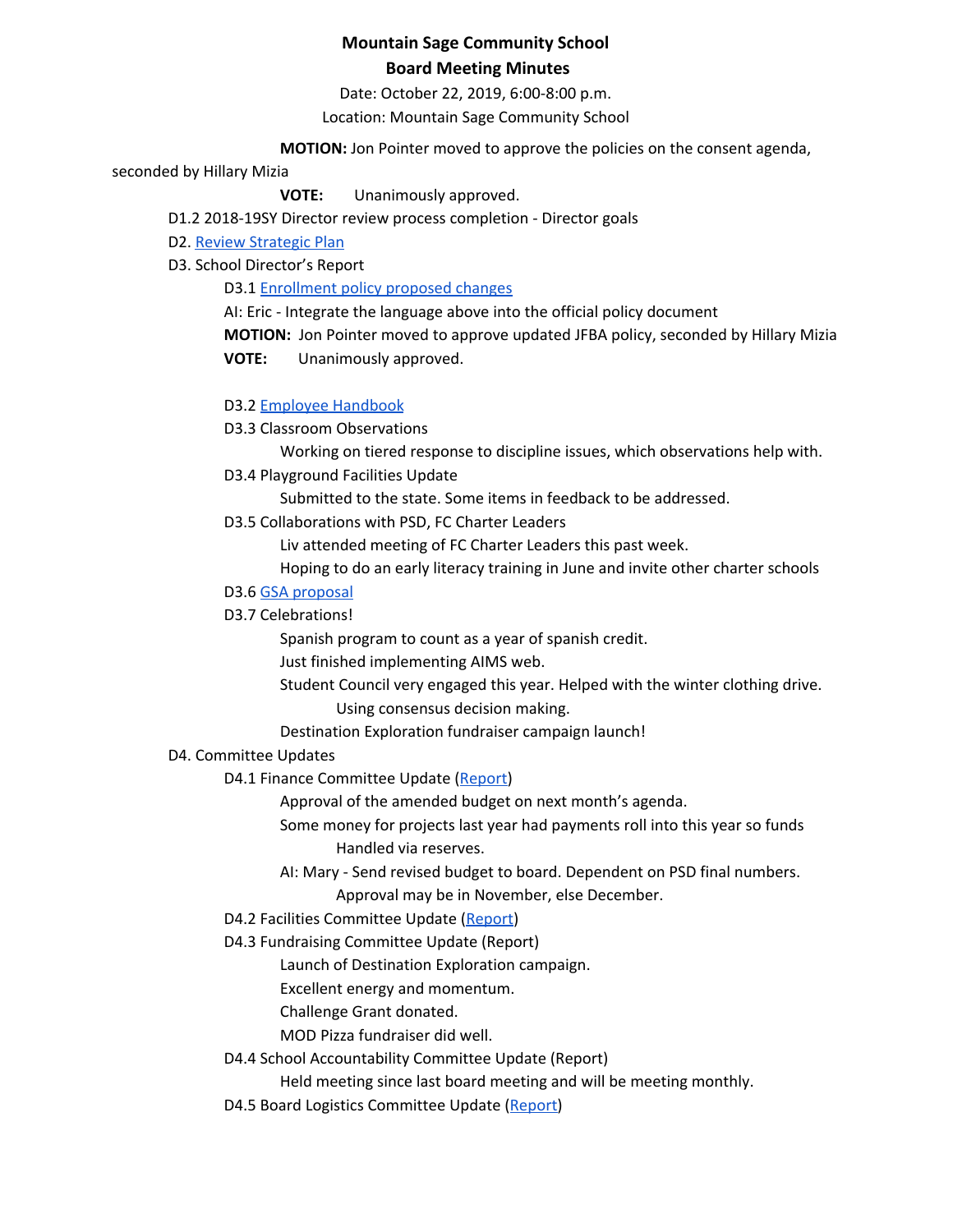Date: October 22, 2019, 6:00-8:00 p.m.

Location: Mountain Sage Community School

**MOTION:** Jon Pointer moved to approve the policies on the consent agenda,

#### seconded by Hillary Mizia

**VOTE:** Unanimously approved.

D1.2 2018-19SY Director review process completion - Director goals

D2. Review [Strategic](https://drive.google.com/file/d/1bIEAL8S8NnDx9PPJRR79h1dLsXFMCh-t/view?usp=sharing) Plan

D3. School Director's Report

D3.1 **[Enrollment](https://docs.google.com/document/d/1RCgege_iEULqIn11icQOKkkZdI1n0mMBBnFZmjy73Zs/edit?usp=sharing) policy proposed changes** 

AI: Eric - Integrate the language above into the official policy document **MOTION:** Jon Pointer moved to approve updated JFBA policy, seconded by Hillary Mizia **VOTE:** Unanimously approved.

### D3.2 Employee [Handbook](https://docs.google.com/document/d/1mt_yPDSffUzUzbCZ67a-qj2yYbE3rKlrKuFYog-IuE8/edit?usp=sharing)

D3.3 Classroom Observations

Working on tiered response to discipline issues, which observations help with.

D3.4 Playground Facilities Update

Submitted to the state. Some items in feedback to be addressed.

D3.5 Collaborations with PSD, FC Charter Leaders

Liv attended meeting of FC Charter Leaders this past week.

Hoping to do an early literacy training in June and invite other charter schools

#### D3.6 GSA [proposal](https://docs.google.com/document/d/1wRTT0BAkUtqpFIyjZkVZm4muCeahmp07XVJtsfWsHGM/edit?usp=sharing)

#### D3.7 Celebrations!

Spanish program to count as a year of spanish credit.

Just finished implementing AIMS web.

Student Council very engaged this year. Helped with the winter clothing drive.

- Using consensus decision making.
- Destination Exploration fundraiser campaign launch!

### D4. Committee Updates

D4.1 Finance Committee Update ([Report](https://drive.google.com/drive/folders/1PVBxNnwotXTdHpyU6BSl45Fb1i3QaPAa?usp=sharing))

Approval of the amended budget on next month's agenda.

Some money for projects last year had payments roll into this year so funds Handled via reserves.

- AI: Mary Send revised budget to board. Dependent on PSD final numbers. Approval may be in November, else December.
- D4.2 Facilities Committee Update [\(Report](https://docs.google.com/document/d/1ptW7i6NWteWfRSJHzSc4rM5JDltbOSINGPrVJqsWbzY/edit))
- D4.3 Fundraising Committee Update (Report)

Launch of Destination Exploration campaign.

Excellent energy and momentum.

Challenge Grant donated.

MOD Pizza fundraiser did well.

D4.4 School Accountability Committee Update (Report)

Held meeting since last board meeting and will be meeting monthly.

D4.5 Board Logistics Committee Update ([Report](https://drive.google.com/open?id=1fXsd6mqJPPaphZziE32P7s-G6M2dniqH))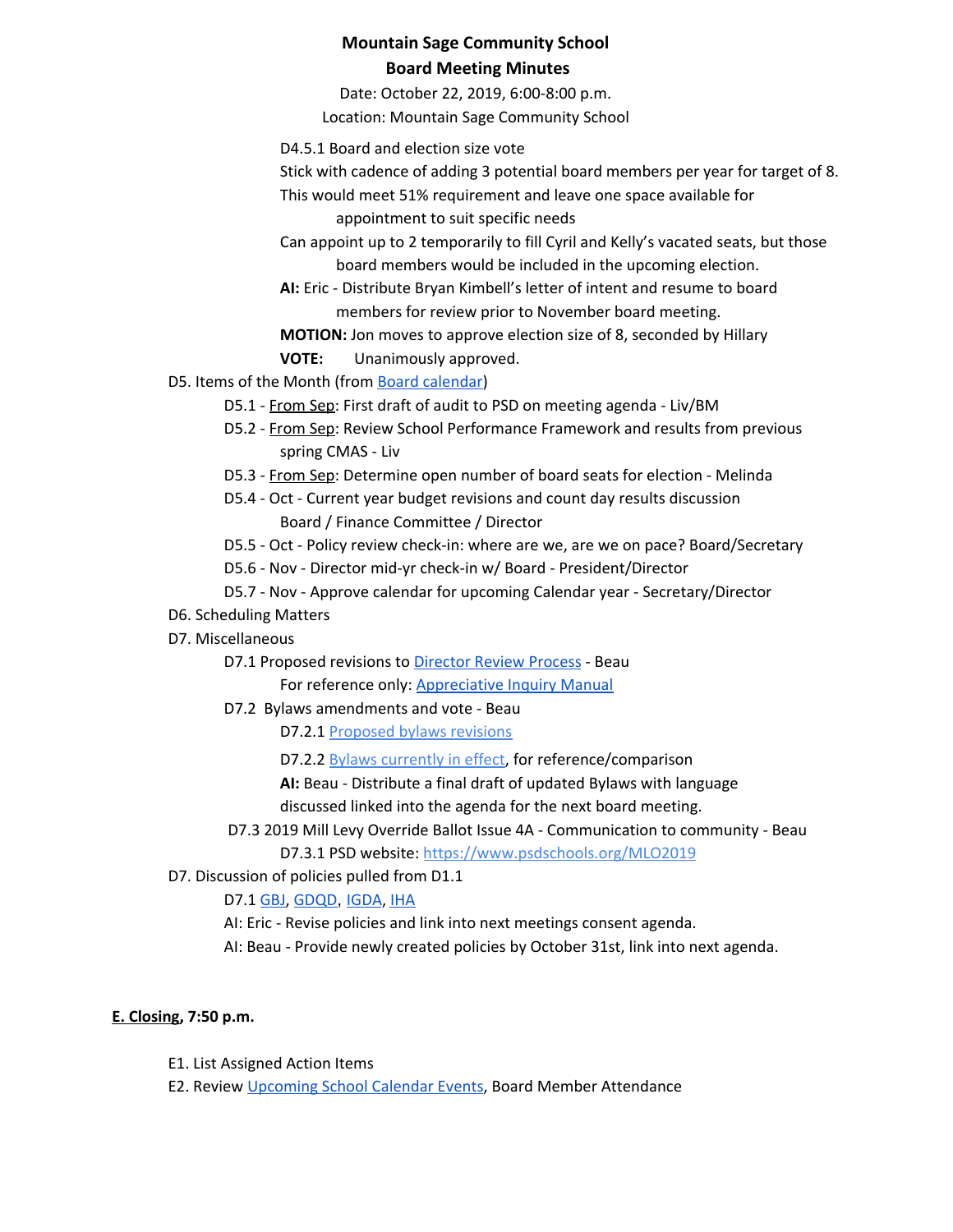Date: October 22, 2019, 6:00-8:00 p.m. Location: Mountain Sage Community School

- D4.5.1 Board and election size vote
- Stick with cadence of adding 3 potential board members per year for target of 8.

This would meet 51% requirement and leave one space available for

appointment to suit specific needs

Can appoint up to 2 temporarily to fill Cyril and Kelly's vacated seats, but those board members would be included in the upcoming election.

**AI:** Eric - Distribute Bryan Kimbell's letter of intent and resume to board members for review prior to November board meeting.

# **MOTION:** Jon moves to approve election size of 8, seconded by Hillary

**VOTE:** Unanimously approved.

D5. Items of the Month (from Board [calendar](https://docs.google.com/document/d/12S6s-qevYMsnj8Cr2yw6uMO7S7hL3gz2oKvXZk5ZndQ/edit?usp=sharing))

- D5.1 From Sep: First draft of audit to PSD on meeting agenda Liv/BM
- D5.2 From Sep: Review School Performance Framework and results from previous spring CMAS - Liv
- D5.3 From Sep: Determine open number of board seats for election Melinda
- D5.4 Oct Current year budget revisions and count day results discussion Board / Finance Committee / Director
- D5.5 Oct Policy review check-in: where are we, are we on pace? Board/Secretary
- D5.6 Nov Director mid-yr check-in w/ Board President/Director
- D5.7 Nov Approve calendar for upcoming Calendar year Secretary/Director
- D6. Scheduling Matters
- D7. Miscellaneous
	- D7.1 Proposed revisions to [Director](https://docs.google.com/document/d/1UdgmXYE3posfh2bNuV6KAWxQvELogqQaY_AxWWZ-ydc/edit) Review Process Beau

For reference only: [Appreciative](https://docs.google.com/document/d/1YznlVi5hVyNAw7rf2JNoQuB41BtoqM9DBpsILGbzpuQ/edit) Inquiry Manual

D7.2 Bylaws amendments and vote - Beau

D7.2.1 [Proposed](https://docs.google.com/document/d/18ly5zagJlFNgmPl4aDgzbKXqnwaEYzV4FFlG1qisgX8/edit) bylaws revisions

D7.2.2 [B](https://docs.google.com/document/d/1GUAkOMKgoAFg3fQ8wofZJ0Syml1wOjNPEp8sCpAqpgk/edit)ylaws [currently](https://docs.google.com/document/d/1GUAkOMKgoAFg3fQ8wofZJ0Syml1wOjNPEp8sCpAqpgk/edit) in effect, for reference/comparison

**AI:** Beau - Distribute a final draft of updated Bylaws with language

discussed linked into the agenda for the next board meeting.

- D7.3 2019 Mill Levy Override Ballot Issue 4A Communication to community Beau D7.3.1 PSD website[:](https://www.psdschools.org/MLO2019) <https://www.psdschools.org/MLO2019>
- D7. Discussion of policies pulled from D1.1

D7.1 [GBJ,](https://docs.google.com/document/d/1zBGL0j3BZn_8a9fgGaW4crvN8HBLy67ztJIEoGRNvtQ/edit?usp=sharing) [GDQD](https://docs.google.com/document/d/1Ewwb0RIPZasF4ZmW7YUI-MQyvjgK7_aGBF7_874vNm8/edit?usp=sharing), [IGDA](https://docs.google.com/document/d/1ONFLsWwDw5QlA0qGKI4D_B0HvphriPoS0YBWOq-vUs0/edit?usp=sharing), [IHA](https://docs.google.com/document/d/1rMNshX07qFv68v2FzhCZDtcOTvdvQ8-phi6XyMGnv2A/edit?usp=sharing)

AI: Eric - Revise policies and link into next meetings consent agenda.

AI: Beau - Provide newly created policies by October 31st, link into next agenda.

## **E. Closing, 7:50 p.m.**

- E1. List Assigned Action Items
- E2. Review [Upcoming](https://www.mountainsage.org/calendar.html) School Calendar Events, Board Member Attendance